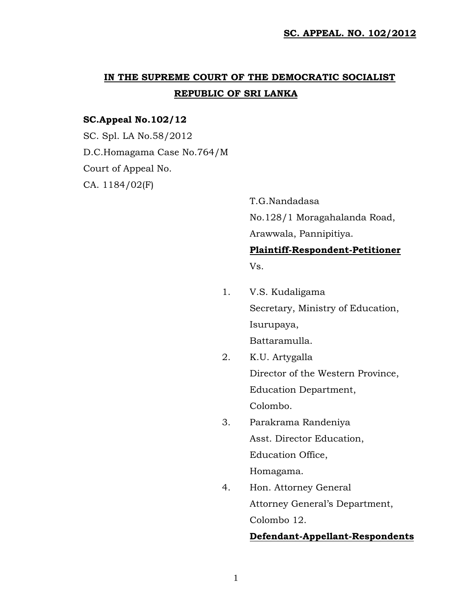# **IN THE SUPREME COURT OF THE DEMOCRATIC SOCIALIST REPUBLIC OF SRI LANKA**

### **SC.Appeal No.102/12**

SC. Spl. LA No.58/2012 D.C.Homagama Case No.764/M Court of Appeal No. CA. 1184/02(F)

> T.G.Nandadasa No.128/1 Moragahalanda Road, Arawwala, Pannipitiya. **Plaintiff-Respondent-Petitioner**

Vs.

- 1. V.S. Kudaligama Secretary, Ministry of Education, Isurupaya, Battaramulla.
- 2. K.U. Artygalla Director of the Western Province, Education Department, Colombo.
- 3. Parakrama Randeniya Asst. Director Education, Education Office, Homagama.
- 4. Hon. Attorney General Attorney General's Department,

Colombo 12.

#### **Defendant-Appellant-Respondents**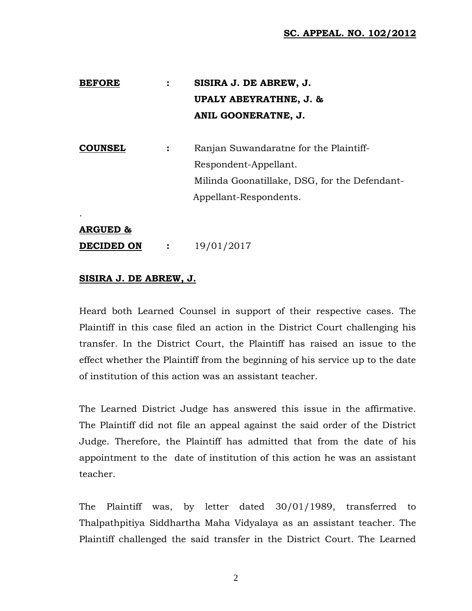| <b>BEFORE</b> | $\mathbf{r}$ | SISIRA J. DE ABREW, J. |
|---------------|--------------|------------------------|
|               |              | UPALY ABEYRATHNE, J. & |
|               |              | ANIL GOONERATNE, J.    |

**COUNSEL :** Ranjan Suwandaratne for the Plaintiff-Respondent-Appellant. Milinda Goonatillake, DSG, for the Defendant-Appellant-Respondents.

## **ARGUED &**

.

**DECIDED ON :** 19/01/2017

#### **SISIRA J. DE ABREW, J.**

Heard both Learned Counsel in support of their respective cases. The Plaintiff in this case filed an action in the District Court challenging his transfer. In the District Court, the Plaintiff has raised an issue to the effect whether the Plaintiff from the beginning of his service up to the date of institution of this action was an assistant teacher.

The Learned District Judge has answered this issue in the affirmative. The Plaintiff did not file an appeal against the said order of the District Judge. Therefore, the Plaintiff has admitted that from the date of his appointment to the date of institution of this action he was an assistant teacher.

The Plaintiff was, by letter dated 30/01/1989, transferred to Thalpathpitiya Siddhartha Maha Vidyalaya as an assistant teacher. The Plaintiff challenged the said transfer in the District Court. The Learned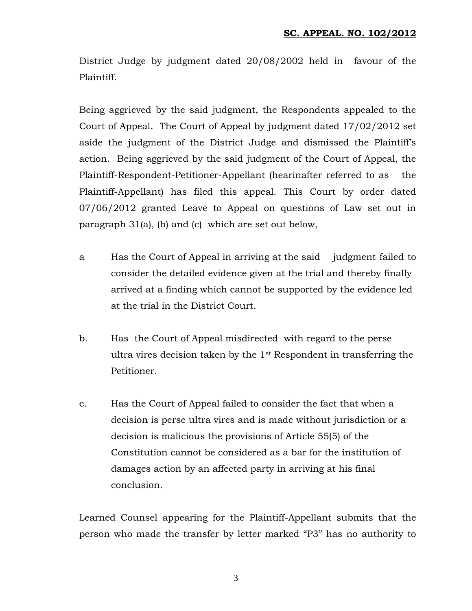District Judge by judgment dated 20/08/2002 held in favour of the Plaintiff.

Being aggrieved by the said judgment, the Respondents appealed to the Court of Appeal. The Court of Appeal by judgment dated 17/02/2012 set aside the judgment of the District Judge and dismissed the Plaintiff's action. Being aggrieved by the said judgment of the Court of Appeal, the Plaintiff-Respondent-Petitioner-Appellant (hearinafter referred to as the Plaintiff-Appellant) has filed this appeal. This Court by order dated 07/06/2012 granted Leave to Appeal on questions of Law set out in paragraph 31(a), (b) and (c) which are set out below,

- a Has the Court of Appeal in arriving at the said judgment failed to consider the detailed evidence given at the trial and thereby finally arrived at a finding which cannot be supported by the evidence led at the trial in the District Court.
- b. Has the Court of Appeal misdirected with regard to the perse ultra vires decision taken by the 1st Respondent in transferring the Petitioner.
- c. Has the Court of Appeal failed to consider the fact that when a decision is perse ultra vires and is made without jurisdiction or a decision is malicious the provisions of Article 55(5) of the Constitution cannot be considered as a bar for the institution of damages action by an affected party in arriving at his final conclusion.

Learned Counsel appearing for the Plaintiff-Appellant submits that the person who made the transfer by letter marked "P3" has no authority to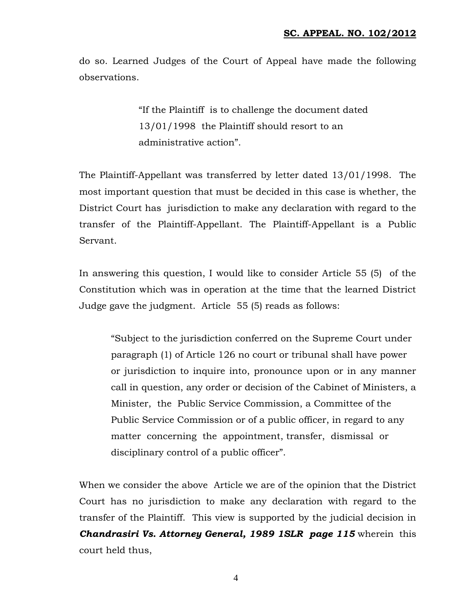do so. Learned Judges of the Court of Appeal have made the following observations.

> "If the Plaintiff is to challenge the document dated 13/01/1998 the Plaintiff should resort to an administrative action".

The Plaintiff-Appellant was transferred by letter dated 13/01/1998. The most important question that must be decided in this case is whether, the District Court has jurisdiction to make any declaration with regard to the transfer of the Plaintiff-Appellant. The Plaintiff-Appellant is a Public Servant.

In answering this question, I would like to consider Article 55 (5) of the Constitution which was in operation at the time that the learned District Judge gave the judgment. Article 55 (5) reads as follows:

"Subject to the jurisdiction conferred on the Supreme Court under paragraph (1) of Article 126 no court or tribunal shall have power or jurisdiction to inquire into, pronounce upon or in any manner call in question, any order or decision of the Cabinet of Ministers, a Minister, the Public Service Commission, a Committee of the Public Service Commission or of a public officer, in regard to any matter concerning the appointment, transfer, dismissal or disciplinary control of a public officer".

When we consider the above Article we are of the opinion that the District Court has no jurisdiction to make any declaration with regard to the transfer of the Plaintiff. This view is supported by the judicial decision in *Chandrasiri Vs. Attorney General, 1989 1SLR page 115* wherein this court held thus,

4